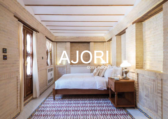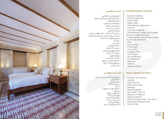## Complimentary services : **خدمــــات تقدی�**

- . Exclusive toiletries
	- . Corona hygiene kit
	- . Fresh towels
	- . Satine robes
	- . Aromatherapy pillow menu
	- . Free wifi
	- . A la carte breakfast
	- . Complimentary coffee, tea & delight service throughout the day
	- . Complimentary mini bar with refresh-
	- ing drinks & small bites
	- . HMS
	- . Roof terrace
	- . Private yard
	- . 24 security
	- . Luggage room
	- . 24 reception
	- . Air conditioning
	- . Housekeeping . Bathroom
- 
- . Safebox
- . Wake up service

## Upon request services :

- . Transfer/ CIP Services
- . Laundry
- . Room Service
- . Resturant & Cafe
- . Massage
- . Facial Treatment
- . Hair stylist / Hair cut
- 
- 
- 
- 



- فرودگاهی CIP ترانسفر و خدمات . خشکشویی .
	-

**خدمــــات درخواستی**

لوازم بهداشتی اختصاصی .

• مینی بار بهمراه نوسیدنی<br>• سیستم هوشمند خدمات

حوله های لطیف . • حوبه های نطیف<br>• ربدوشامبر ابریشمی منوی بالش معطر . اینترنت پر سرعت . صبحانه انتخابی .

پارکینگ . • پردینک<br>• تراس بام حیاط اختصاصی . حراست ۲۴ ساعته . فضای نگهداری چمدان . پذیرش ۲۴ ساعته . تهویه مطبوع . خدمات خانه داری . حمام اختصاصی در اتاق . صندوق امانات در اتاق .

.<br>. بسته اختصاصی پیشگیری از کرونا

پذیرایی ۲۴ ساعته / چای ، قهوه، شیرینی . • پدیرایی ۱۲ساعته ۲ چای ، قهوه، سیرینی<br>• مینی بار بهمراه نوشیدنی های تازه و لقمه

> روم سرویس . رستوران و کافه .

مانیکور و پدیکور . لوازم جانبی یوگا . راهنمای چند زبانه . تور پیاده در بافت . پزشک اورژانس . **.** پرست <sub>اوررا</sub>ىس<br><sub>-</sub> تماشای فیلم در تخت

زنگ بیداری .

- رسىور<br>ماساژ
- خدمات پوست و صورت . پیرایش .
	- -
		-
	-
- . Manicure / Pedicure
	- . Yoga Accesories
		-
	- . Multi Language Guide / City Tours
	- . Emergency Physician Visit
	- . Movie in bed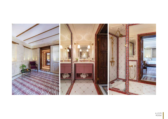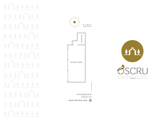



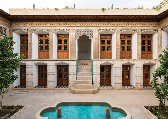